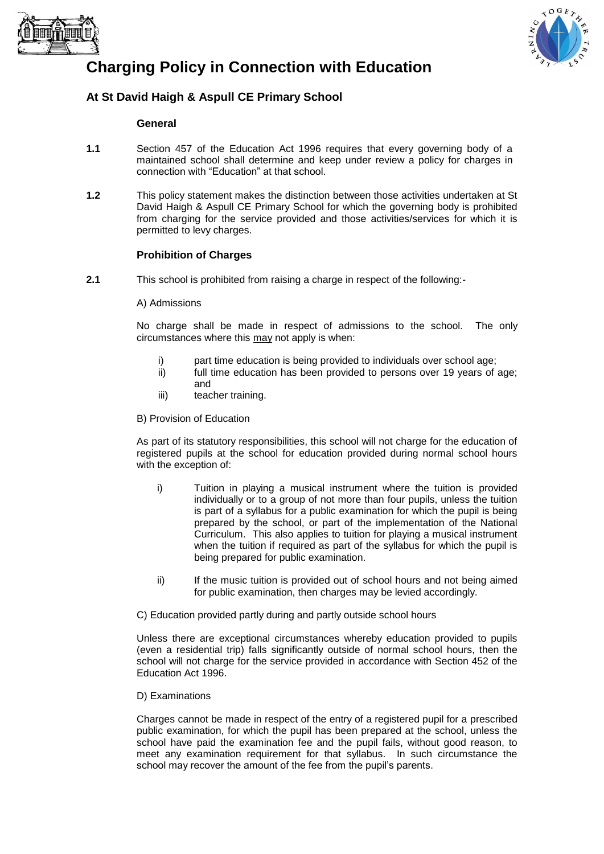



# **Charging Policy in Connection with Education**

# **At St David Haigh & Aspull CE Primary School**

#### **General**

- **1.1** Section 457 of the Education Act 1996 requires that every governing body of a maintained school shall determine and keep under review a policy for charges in connection with "Education" at that school.
- **1.2** This policy statement makes the distinction between those activities undertaken at St David Haigh & Aspull CE Primary School for which the governing body is prohibited from charging for the service provided and those activities/services for which it is permitted to levy charges.

# **Prohibition of Charges**

**2.1** This school is prohibited from raising a charge in respect of the following:-

#### A) Admissions

No charge shall be made in respect of admissions to the school. The only circumstances where this may not apply is when:

- i) part time education is being provided to individuals over school age;
- ii) full time education has been provided to persons over 19 years of age; and
- iii) teacher training.

B) Provision of Education

As part of its statutory responsibilities, this school will not charge for the education of registered pupils at the school for education provided during normal school hours with the exception of:

- i) Tuition in playing a musical instrument where the tuition is provided individually or to a group of not more than four pupils, unless the tuition is part of a syllabus for a public examination for which the pupil is being prepared by the school, or part of the implementation of the National Curriculum. This also applies to tuition for playing a musical instrument when the tuition if required as part of the syllabus for which the pupil is being prepared for public examination.
- ii) If the music tuition is provided out of school hours and not being aimed for public examination, then charges may be levied accordingly.

C) Education provided partly during and partly outside school hours

Unless there are exceptional circumstances whereby education provided to pupils (even a residential trip) falls significantly outside of normal school hours, then the school will not charge for the service provided in accordance with Section 452 of the Education Act 1996.

# D) Examinations

Charges cannot be made in respect of the entry of a registered pupil for a prescribed public examination, for which the pupil has been prepared at the school, unless the school have paid the examination fee and the pupil fails, without good reason, to meet any examination requirement for that syllabus. In such circumstance the school may recover the amount of the fee from the pupil's parents.